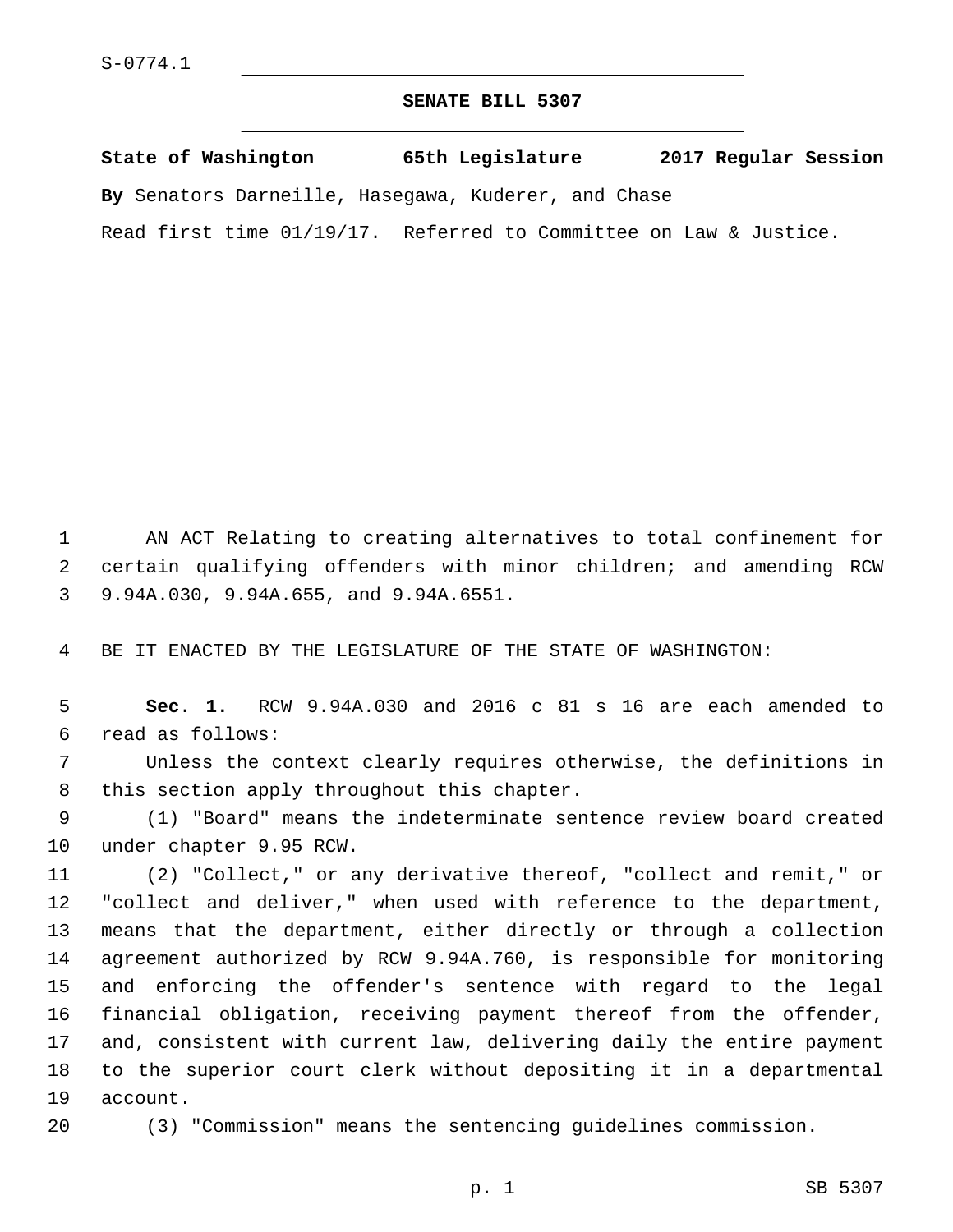## **SENATE BILL 5307**

**State of Washington 65th Legislature 2017 Regular Session By** Senators Darneille, Hasegawa, Kuderer, and Chase Read first time 01/19/17. Referred to Committee on Law & Justice.

1 AN ACT Relating to creating alternatives to total confinement for 2 certain qualifying offenders with minor children; and amending RCW 9.94A.030, 9.94A.655, and 9.94A.6551.3

4 BE IT ENACTED BY THE LEGISLATURE OF THE STATE OF WASHINGTON:

5 **Sec. 1.** RCW 9.94A.030 and 2016 c 81 s 16 are each amended to read as follows:6

7 Unless the context clearly requires otherwise, the definitions in 8 this section apply throughout this chapter.

9 (1) "Board" means the indeterminate sentence review board created 10 under chapter 9.95 RCW.

 (2) "Collect," or any derivative thereof, "collect and remit," or "collect and deliver," when used with reference to the department, means that the department, either directly or through a collection agreement authorized by RCW 9.94A.760, is responsible for monitoring and enforcing the offender's sentence with regard to the legal financial obligation, receiving payment thereof from the offender, and, consistent with current law, delivering daily the entire payment to the superior court clerk without depositing it in a departmental 19 account.

20 (3) "Commission" means the sentencing guidelines commission.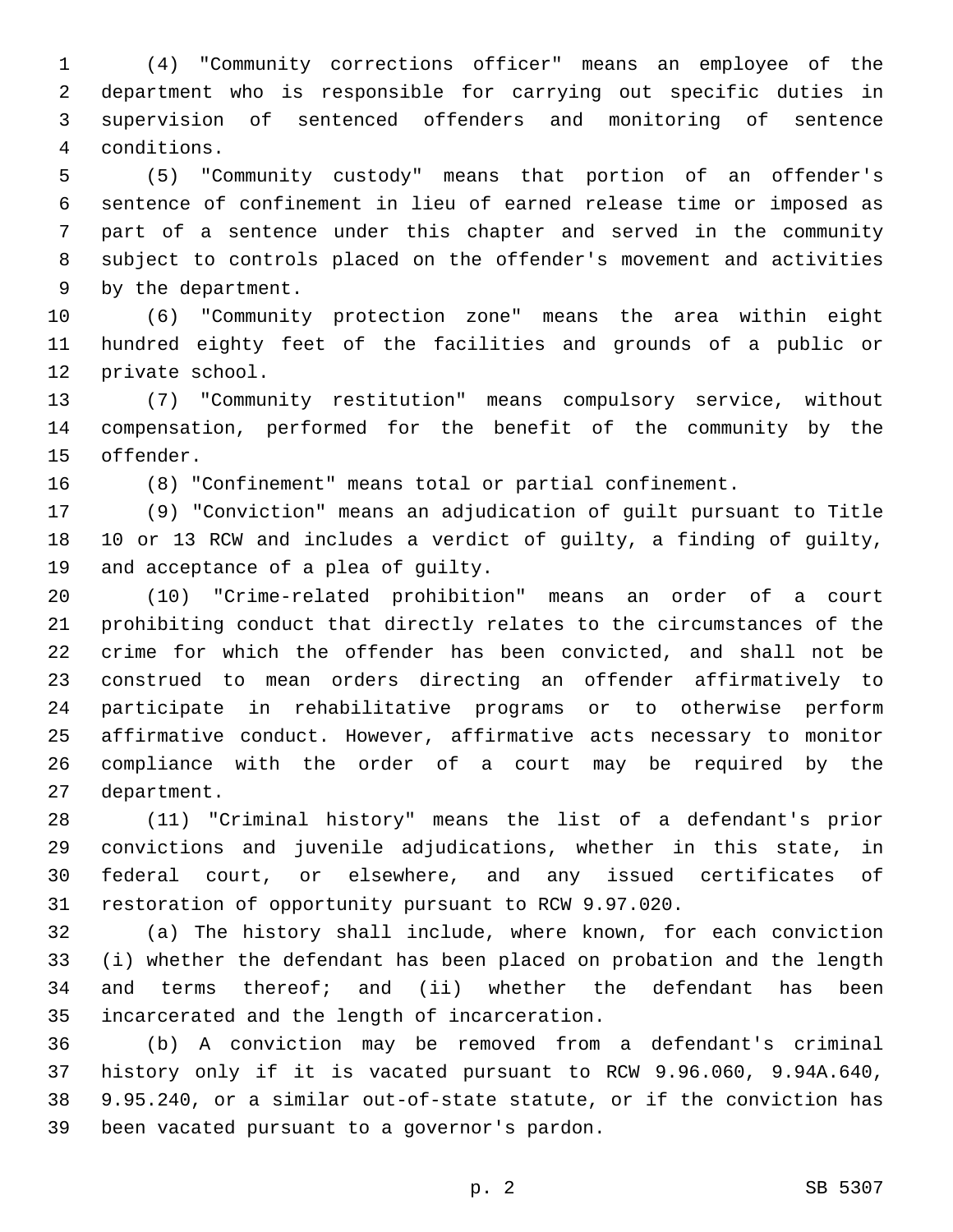(4) "Community corrections officer" means an employee of the department who is responsible for carrying out specific duties in supervision of sentenced offenders and monitoring of sentence conditions.4

 (5) "Community custody" means that portion of an offender's sentence of confinement in lieu of earned release time or imposed as part of a sentence under this chapter and served in the community subject to controls placed on the offender's movement and activities 9 by the department.

 (6) "Community protection zone" means the area within eight hundred eighty feet of the facilities and grounds of a public or 12 private school.

 (7) "Community restitution" means compulsory service, without compensation, performed for the benefit of the community by the 15 offender.

(8) "Confinement" means total or partial confinement.

 (9) "Conviction" means an adjudication of guilt pursuant to Title 10 or 13 RCW and includes a verdict of guilty, a finding of guilty, 19 and acceptance of a plea of guilty.

 (10) "Crime-related prohibition" means an order of a court prohibiting conduct that directly relates to the circumstances of the crime for which the offender has been convicted, and shall not be construed to mean orders directing an offender affirmatively to participate in rehabilitative programs or to otherwise perform affirmative conduct. However, affirmative acts necessary to monitor compliance with the order of a court may be required by the 27 department.

 (11) "Criminal history" means the list of a defendant's prior convictions and juvenile adjudications, whether in this state, in federal court, or elsewhere, and any issued certificates of restoration of opportunity pursuant to RCW 9.97.020.

 (a) The history shall include, where known, for each conviction (i) whether the defendant has been placed on probation and the length and terms thereof; and (ii) whether the defendant has been incarcerated and the length of incarceration.35

 (b) A conviction may be removed from a defendant's criminal history only if it is vacated pursuant to RCW 9.96.060, 9.94A.640, 9.95.240, or a similar out-of-state statute, or if the conviction has 39 been vacated pursuant to a governor's pardon.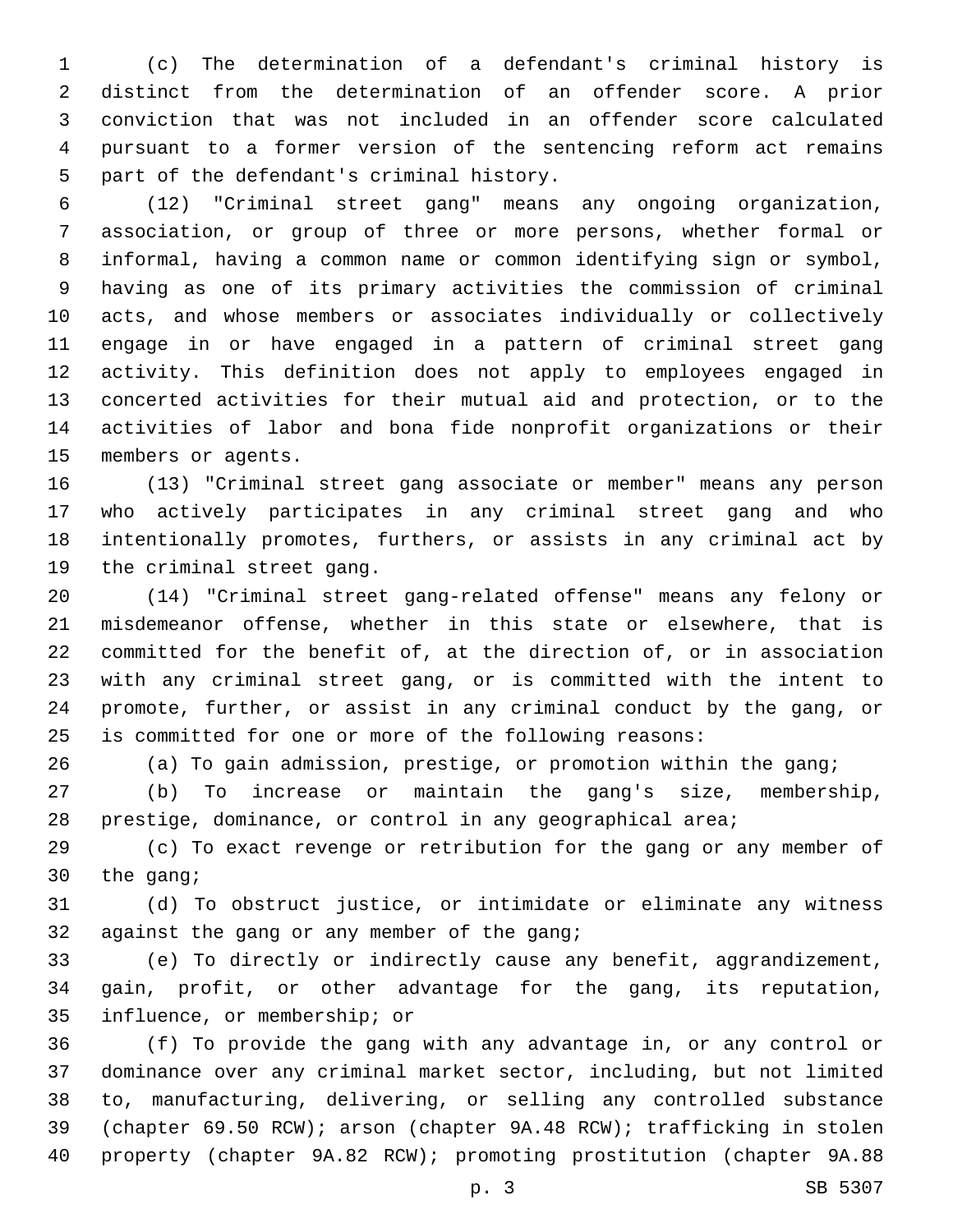(c) The determination of a defendant's criminal history is distinct from the determination of an offender score. A prior conviction that was not included in an offender score calculated pursuant to a former version of the sentencing reform act remains 5 part of the defendant's criminal history.

 (12) "Criminal street gang" means any ongoing organization, association, or group of three or more persons, whether formal or informal, having a common name or common identifying sign or symbol, having as one of its primary activities the commission of criminal acts, and whose members or associates individually or collectively engage in or have engaged in a pattern of criminal street gang activity. This definition does not apply to employees engaged in concerted activities for their mutual aid and protection, or to the activities of labor and bona fide nonprofit organizations or their 15 members or agents.

 (13) "Criminal street gang associate or member" means any person who actively participates in any criminal street gang and who intentionally promotes, furthers, or assists in any criminal act by 19 the criminal street gang.

 (14) "Criminal street gang-related offense" means any felony or misdemeanor offense, whether in this state or elsewhere, that is committed for the benefit of, at the direction of, or in association with any criminal street gang, or is committed with the intent to promote, further, or assist in any criminal conduct by the gang, or is committed for one or more of the following reasons:

(a) To gain admission, prestige, or promotion within the gang;

 (b) To increase or maintain the gang's size, membership, prestige, dominance, or control in any geographical area;

 (c) To exact revenge or retribution for the gang or any member of 30  $the$  gang;

 (d) To obstruct justice, or intimidate or eliminate any witness 32 against the gang or any member of the gang;

 (e) To directly or indirectly cause any benefit, aggrandizement, gain, profit, or other advantage for the gang, its reputation, 35 influence, or membership; or

 (f) To provide the gang with any advantage in, or any control or dominance over any criminal market sector, including, but not limited to, manufacturing, delivering, or selling any controlled substance (chapter 69.50 RCW); arson (chapter 9A.48 RCW); trafficking in stolen property (chapter 9A.82 RCW); promoting prostitution (chapter 9A.88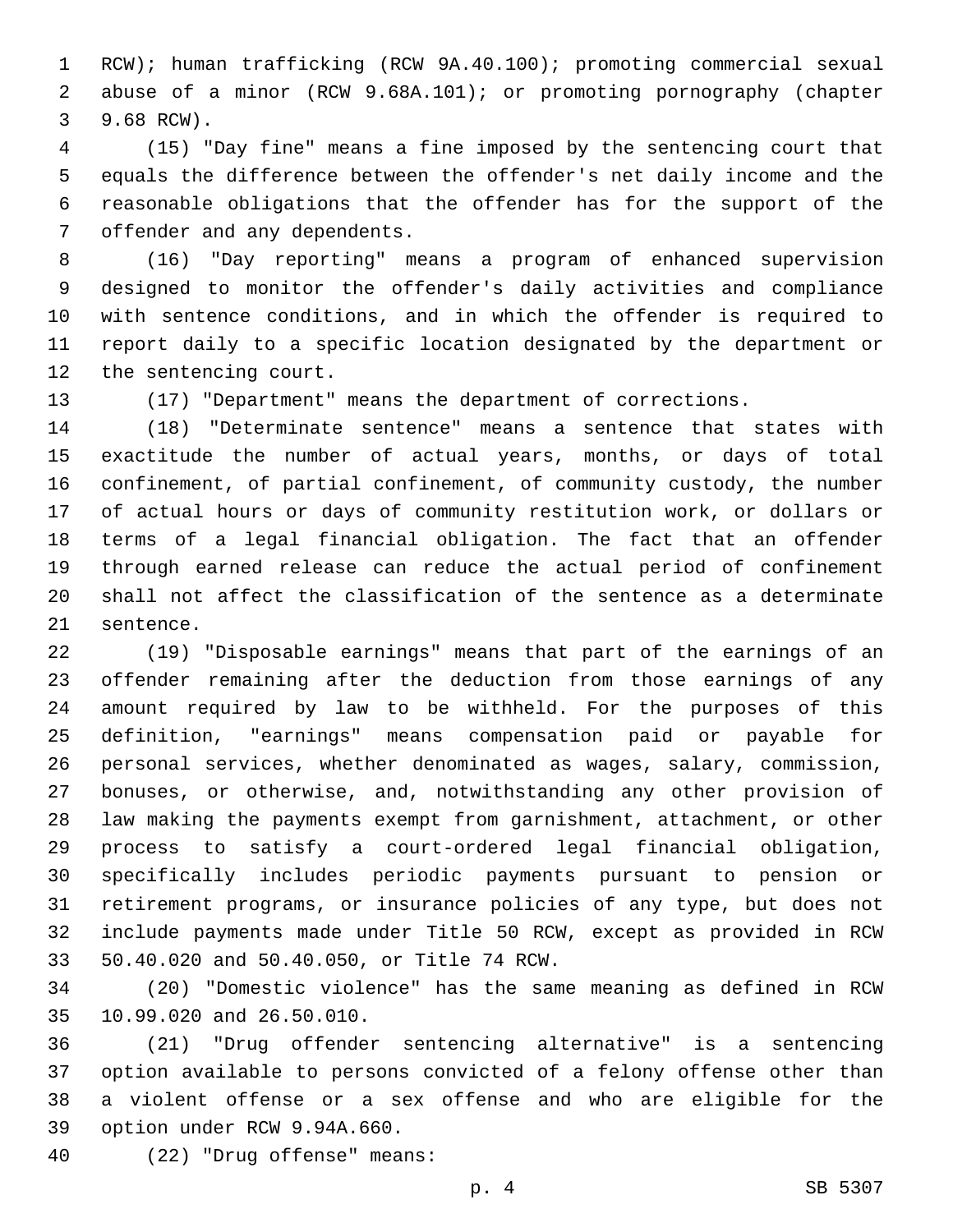RCW); human trafficking (RCW 9A.40.100); promoting commercial sexual abuse of a minor (RCW 9.68A.101); or promoting pornography (chapter 3 9.68 RCW).

 (15) "Day fine" means a fine imposed by the sentencing court that equals the difference between the offender's net daily income and the reasonable obligations that the offender has for the support of the 7 offender and any dependents.

 (16) "Day reporting" means a program of enhanced supervision designed to monitor the offender's daily activities and compliance with sentence conditions, and in which the offender is required to report daily to a specific location designated by the department or 12 the sentencing court.

(17) "Department" means the department of corrections.

 (18) "Determinate sentence" means a sentence that states with exactitude the number of actual years, months, or days of total confinement, of partial confinement, of community custody, the number of actual hours or days of community restitution work, or dollars or terms of a legal financial obligation. The fact that an offender through earned release can reduce the actual period of confinement shall not affect the classification of the sentence as a determinate 21 sentence.

 (19) "Disposable earnings" means that part of the earnings of an offender remaining after the deduction from those earnings of any amount required by law to be withheld. For the purposes of this definition, "earnings" means compensation paid or payable for personal services, whether denominated as wages, salary, commission, bonuses, or otherwise, and, notwithstanding any other provision of law making the payments exempt from garnishment, attachment, or other process to satisfy a court-ordered legal financial obligation, specifically includes periodic payments pursuant to pension or retirement programs, or insurance policies of any type, but does not include payments made under Title 50 RCW, except as provided in RCW 50.40.020 and 50.40.050, or Title 74 RCW.33

 (20) "Domestic violence" has the same meaning as defined in RCW 35 10.99.020 and 26.50.010.

 (21) "Drug offender sentencing alternative" is a sentencing option available to persons convicted of a felony offense other than a violent offense or a sex offense and who are eligible for the 39 option under RCW 9.94A.660.

(22) "Drug offense" means:40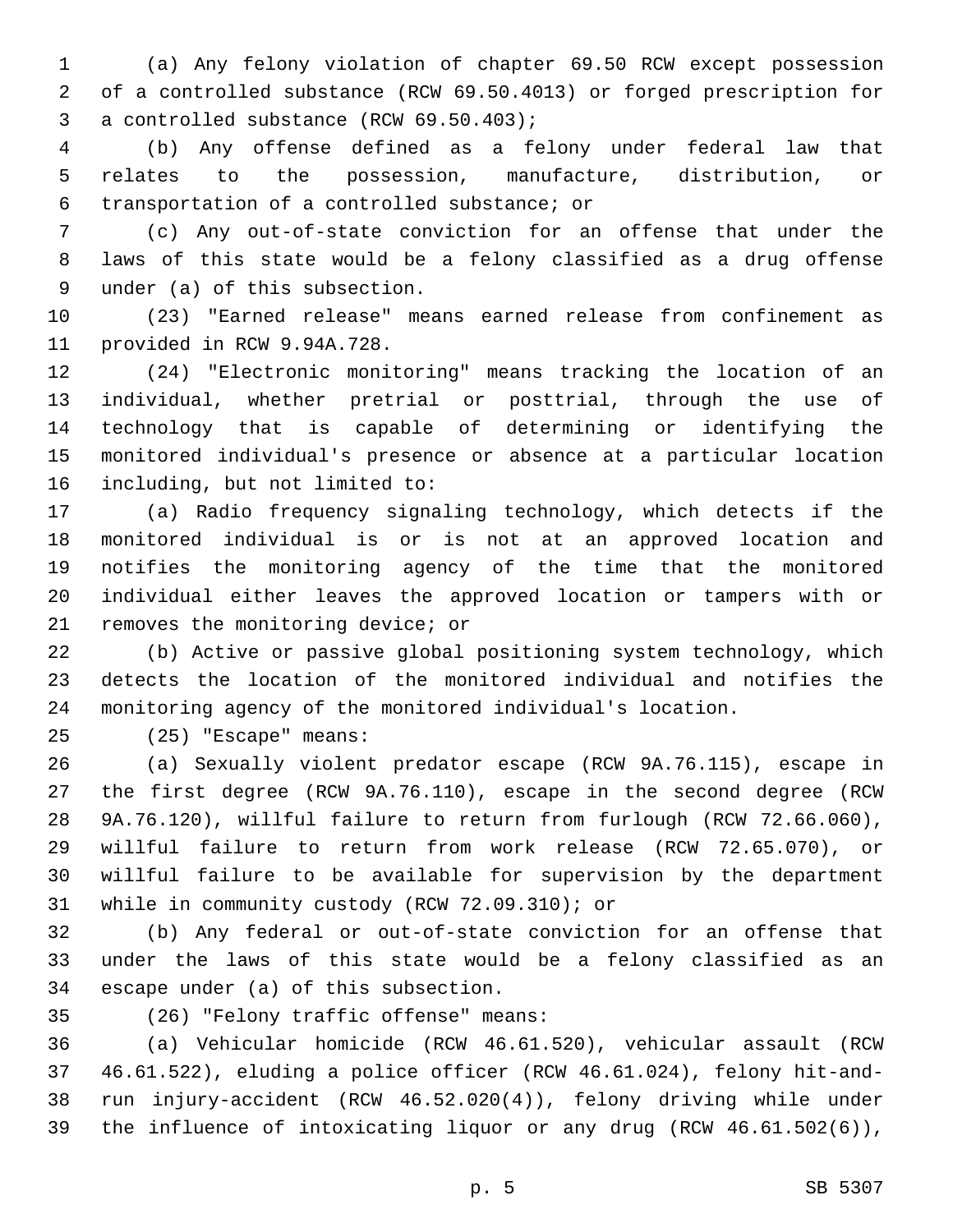(a) Any felony violation of chapter 69.50 RCW except possession of a controlled substance (RCW 69.50.4013) or forged prescription for 3 a controlled substance (RCW 69.50.403);

 (b) Any offense defined as a felony under federal law that relates to the possession, manufacture, distribution, or transportation of a controlled substance; or6

 (c) Any out-of-state conviction for an offense that under the laws of this state would be a felony classified as a drug offense 9 under (a) of this subsection.

 (23) "Earned release" means earned release from confinement as 11 provided in RCW 9.94A.728.

 (24) "Electronic monitoring" means tracking the location of an individual, whether pretrial or posttrial, through the use of technology that is capable of determining or identifying the monitored individual's presence or absence at a particular location 16 including, but not limited to:

 (a) Radio frequency signaling technology, which detects if the monitored individual is or is not at an approved location and notifies the monitoring agency of the time that the monitored individual either leaves the approved location or tampers with or 21 removes the monitoring device; or

 (b) Active or passive global positioning system technology, which detects the location of the monitored individual and notifies the monitoring agency of the monitored individual's location.

(25) "Escape" means:25

 (a) Sexually violent predator escape (RCW 9A.76.115), escape in the first degree (RCW 9A.76.110), escape in the second degree (RCW 9A.76.120), willful failure to return from furlough (RCW 72.66.060), willful failure to return from work release (RCW 72.65.070), or willful failure to be available for supervision by the department 31 while in community custody (RCW 72.09.310); or

 (b) Any federal or out-of-state conviction for an offense that under the laws of this state would be a felony classified as an 34 escape under (a) of this subsection.

(26) "Felony traffic offense" means:35

 (a) Vehicular homicide (RCW 46.61.520), vehicular assault (RCW 46.61.522), eluding a police officer (RCW 46.61.024), felony hit-and- run injury-accident (RCW 46.52.020(4)), felony driving while under the influence of intoxicating liquor or any drug (RCW 46.61.502(6)),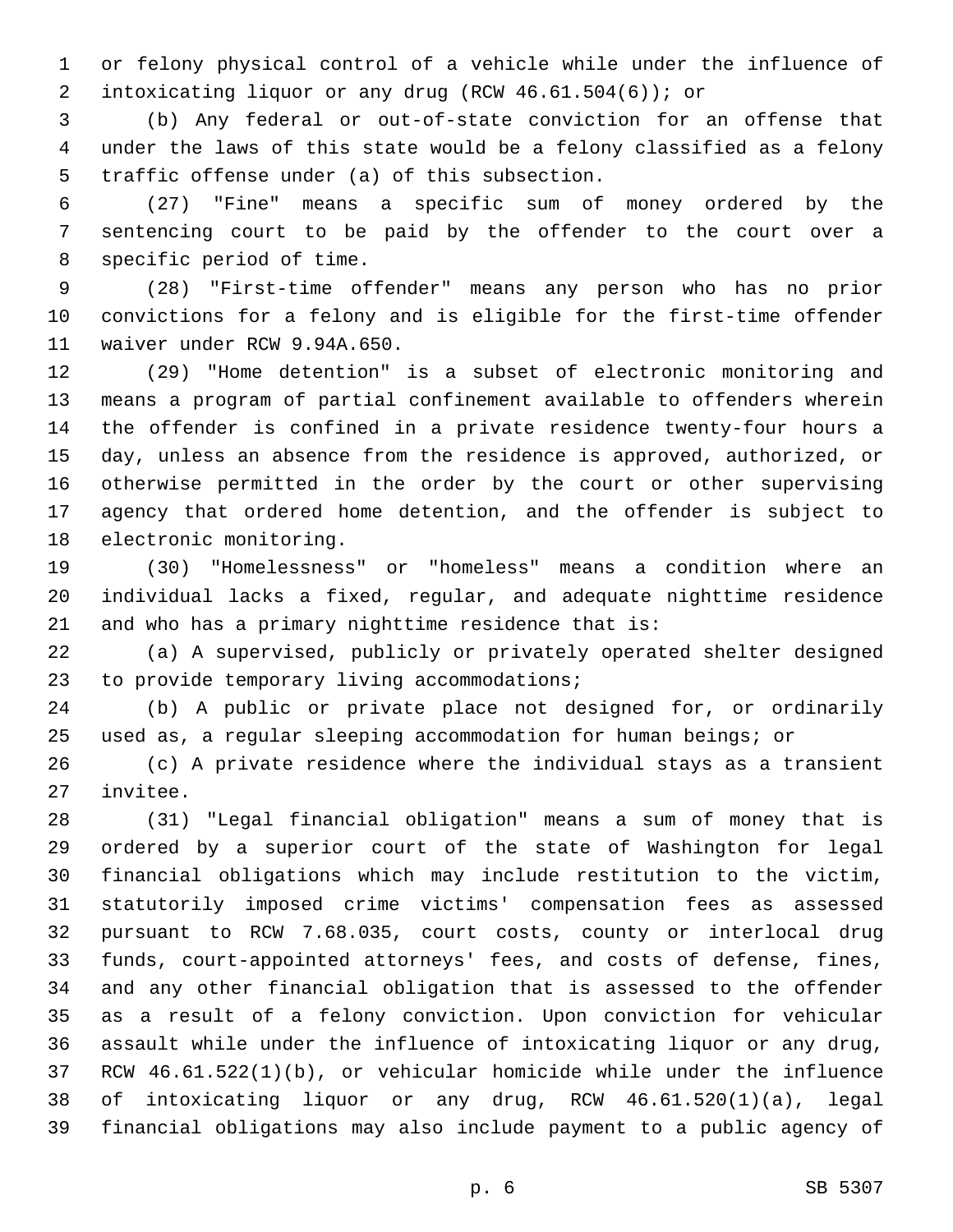or felony physical control of a vehicle while under the influence of intoxicating liquor or any drug (RCW 46.61.504(6)); or

 (b) Any federal or out-of-state conviction for an offense that under the laws of this state would be a felony classified as a felony 5 traffic offense under (a) of this subsection.

 (27) "Fine" means a specific sum of money ordered by the sentencing court to be paid by the offender to the court over a 8 specific period of time.

 (28) "First-time offender" means any person who has no prior convictions for a felony and is eligible for the first-time offender 11 waiver under RCW 9.94A.650.

 (29) "Home detention" is a subset of electronic monitoring and means a program of partial confinement available to offenders wherein the offender is confined in a private residence twenty-four hours a day, unless an absence from the residence is approved, authorized, or otherwise permitted in the order by the court or other supervising agency that ordered home detention, and the offender is subject to 18 electronic monitoring.

 (30) "Homelessness" or "homeless" means a condition where an individual lacks a fixed, regular, and adequate nighttime residence and who has a primary nighttime residence that is:

 (a) A supervised, publicly or privately operated shelter designed 23 to provide temporary living accommodations;

 (b) A public or private place not designed for, or ordinarily used as, a regular sleeping accommodation for human beings; or

 (c) A private residence where the individual stays as a transient 27 invitee.

 (31) "Legal financial obligation" means a sum of money that is ordered by a superior court of the state of Washington for legal financial obligations which may include restitution to the victim, statutorily imposed crime victims' compensation fees as assessed pursuant to RCW 7.68.035, court costs, county or interlocal drug funds, court-appointed attorneys' fees, and costs of defense, fines, and any other financial obligation that is assessed to the offender as a result of a felony conviction. Upon conviction for vehicular assault while under the influence of intoxicating liquor or any drug, RCW 46.61.522(1)(b), or vehicular homicide while under the influence of intoxicating liquor or any drug, RCW 46.61.520(1)(a), legal financial obligations may also include payment to a public agency of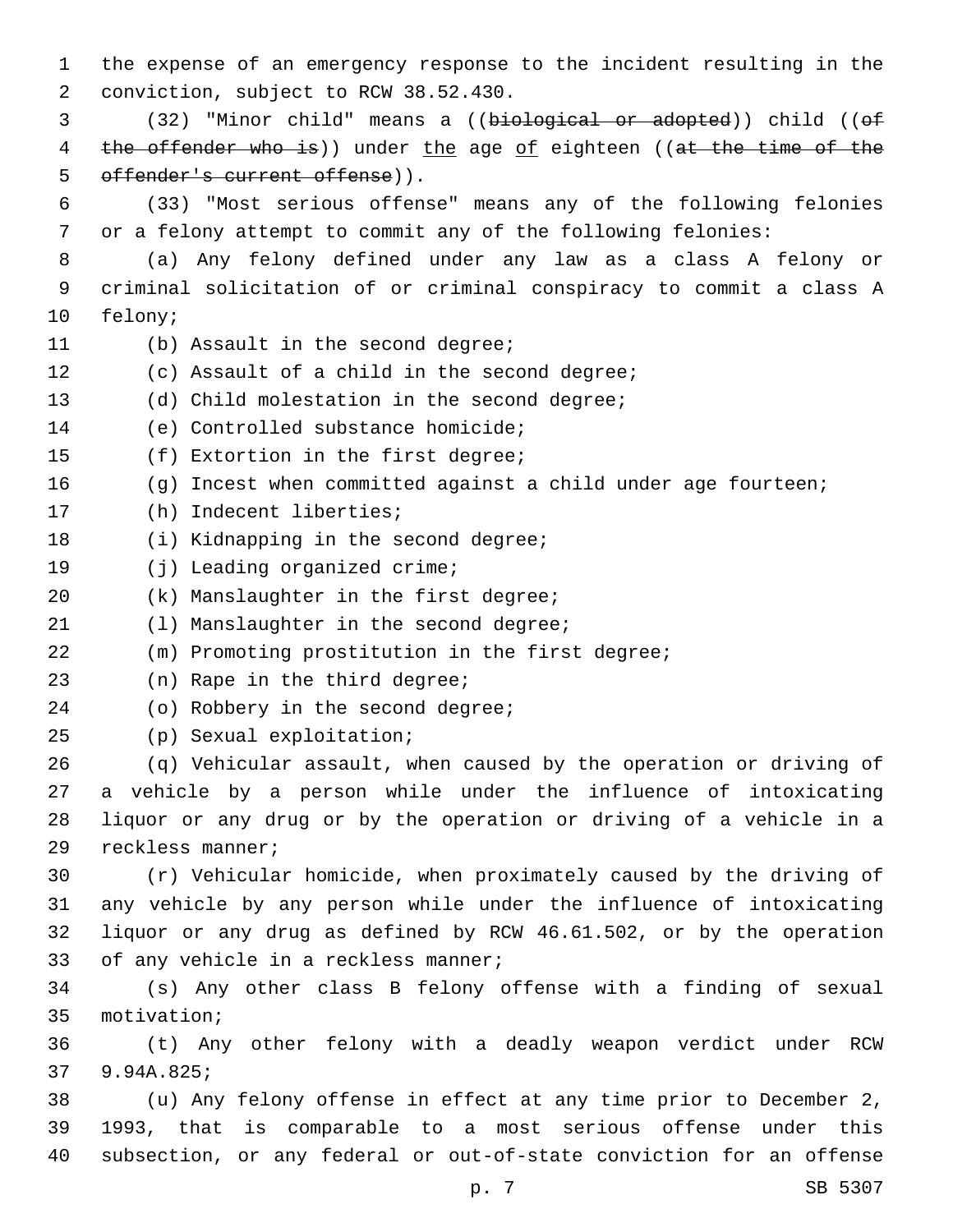1 the expense of an emergency response to the incident resulting in the 2 conviction, subject to RCW 38.52.430. 3 (32) "Minor child" means a ((biological or adopted)) child ((of 4 the offender who is)) under the age of eighteen ((at the time of the 5 offender's current offense)). 6 (33) "Most serious offense" means any of the following felonies 7 or a felony attempt to commit any of the following felonies: 8 (a) Any felony defined under any law as a class A felony or 9 criminal solicitation of or criminal conspiracy to commit a class A 10 felony; 11 (b) Assault in the second degree; 12 (c) Assault of a child in the second degree; 13 (d) Child molestation in the second degree; 14 (e) Controlled substance homicide; 15 (f) Extortion in the first degree; 16 (g) Incest when committed against a child under age fourteen; 17 (h) Indecent liberties; 18 (i) Kidnapping in the second degree; 19 (j) Leading organized crime; 20 (k) Manslaughter in the first degree; 21 (1) Manslaughter in the second degree; 22 (m) Promoting prostitution in the first degree; 23 (n) Rape in the third degree; 24 (o) Robbery in the second degree; (p) Sexual exploitation;25 26 (q) Vehicular assault, when caused by the operation or driving of 27 a vehicle by a person while under the influence of intoxicating 28 liquor or any drug or by the operation or driving of a vehicle in a 29 reckless manner; 30 (r) Vehicular homicide, when proximately caused by the driving of 31 any vehicle by any person while under the influence of intoxicating 32 liquor or any drug as defined by RCW 46.61.502, or by the operation 33 of any vehicle in a reckless manner; 34 (s) Any other class B felony offense with a finding of sexual 35 motivation; 36 (t) Any other felony with a deadly weapon verdict under RCW 9.94A.825;37 38 (u) Any felony offense in effect at any time prior to December 2, 39 1993, that is comparable to a most serious offense under this 40 subsection, or any federal or out-of-state conviction for an offense

p. 7 SB 5307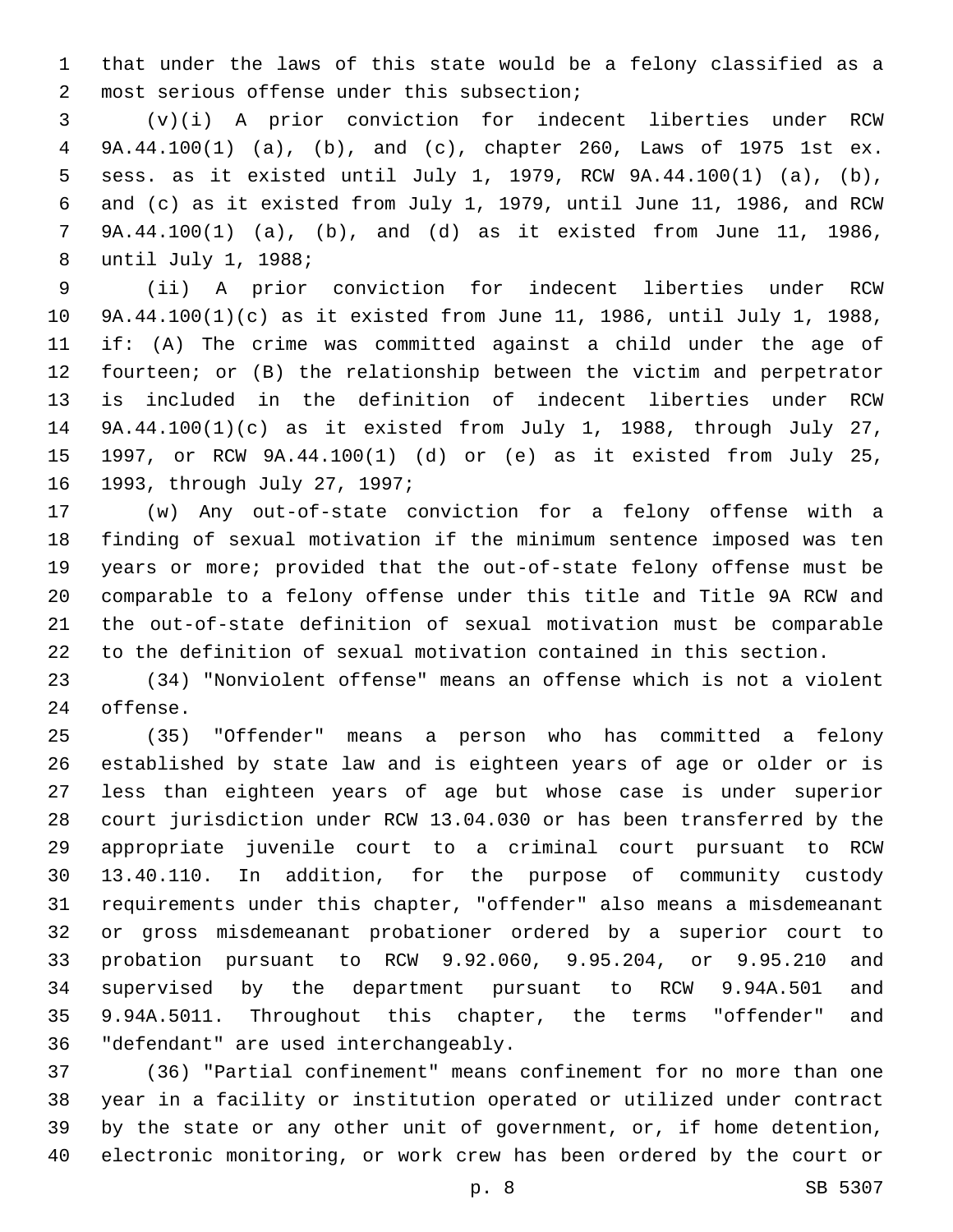that under the laws of this state would be a felony classified as a 2 most serious offense under this subsection;

 (v)(i) A prior conviction for indecent liberties under RCW 9A.44.100(1) (a), (b), and (c), chapter 260, Laws of 1975 1st ex. sess. as it existed until July 1, 1979, RCW 9A.44.100(1) (a), (b), and (c) as it existed from July 1, 1979, until June 11, 1986, and RCW 9A.44.100(1) (a), (b), and (d) as it existed from June 11, 1986, 8 until July 1, 1988;

 (ii) A prior conviction for indecent liberties under RCW 9A.44.100(1)(c) as it existed from June 11, 1986, until July 1, 1988, if: (A) The crime was committed against a child under the age of fourteen; or (B) the relationship between the victim and perpetrator is included in the definition of indecent liberties under RCW 9A.44.100(1)(c) as it existed from July 1, 1988, through July 27, 1997, or RCW 9A.44.100(1) (d) or (e) as it existed from July 25, 16 1993, through July 27, 1997;

 (w) Any out-of-state conviction for a felony offense with a finding of sexual motivation if the minimum sentence imposed was ten years or more; provided that the out-of-state felony offense must be comparable to a felony offense under this title and Title 9A RCW and the out-of-state definition of sexual motivation must be comparable to the definition of sexual motivation contained in this section.

 (34) "Nonviolent offense" means an offense which is not a violent 24 offense.

 (35) "Offender" means a person who has committed a felony established by state law and is eighteen years of age or older or is less than eighteen years of age but whose case is under superior court jurisdiction under RCW 13.04.030 or has been transferred by the appropriate juvenile court to a criminal court pursuant to RCW 13.40.110. In addition, for the purpose of community custody requirements under this chapter, "offender" also means a misdemeanant or gross misdemeanant probationer ordered by a superior court to probation pursuant to RCW 9.92.060, 9.95.204, or 9.95.210 and supervised by the department pursuant to RCW 9.94A.501 and 9.94A.5011. Throughout this chapter, the terms "offender" and 36 "defendant" are used interchangeably.

 (36) "Partial confinement" means confinement for no more than one year in a facility or institution operated or utilized under contract by the state or any other unit of government, or, if home detention, electronic monitoring, or work crew has been ordered by the court or

p. 8 SB 5307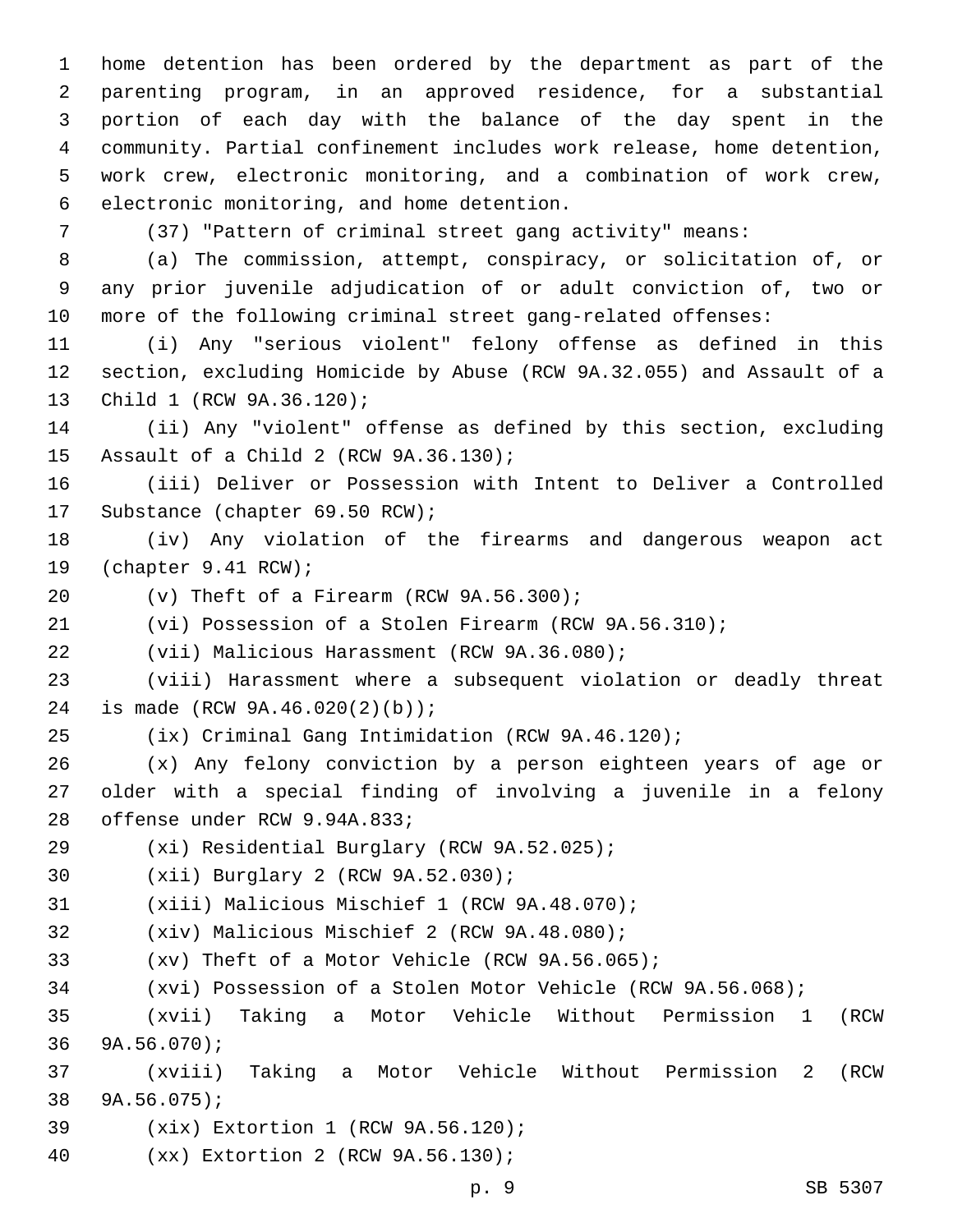home detention has been ordered by the department as part of the parenting program, in an approved residence, for a substantial portion of each day with the balance of the day spent in the community. Partial confinement includes work release, home detention, work crew, electronic monitoring, and a combination of work crew, 6 electronic monitoring, and home detention.

(37) "Pattern of criminal street gang activity" means:

 (a) The commission, attempt, conspiracy, or solicitation of, or any prior juvenile adjudication of or adult conviction of, two or more of the following criminal street gang-related offenses:

 (i) Any "serious violent" felony offense as defined in this section, excluding Homicide by Abuse (RCW 9A.32.055) and Assault of a 13 Child 1 (RCW 9A.36.120);

 (ii) Any "violent" offense as defined by this section, excluding 15 Assault of a Child 2 (RCW 9A.36.130);

 (iii) Deliver or Possession with Intent to Deliver a Controlled 17 Substance (chapter 69.50 RCW);

 (iv) Any violation of the firearms and dangerous weapon act 19 (chapter 9.41 RCW);

(v) Theft of a Firearm (RCW  $9A.56.300$ );

(vi) Possession of a Stolen Firearm (RCW 9A.56.310);

22 (vii) Malicious Harassment (RCW 9A.36.080);

 (viii) Harassment where a subsequent violation or deadly threat 24 is made (RCW 9A.46.020(2)(b));

(ix) Criminal Gang Intimidation (RCW 9A.46.120);

 (x) Any felony conviction by a person eighteen years of age or older with a special finding of involving a juvenile in a felony 28 offense under RCW 9.94A.833;

29 (xi) Residential Burglary (RCW 9A.52.025);

30 (xii) Burglary 2 (RCW 9A.52.030);

31 (xiii) Malicious Mischief 1 (RCW 9A.48.070);

32 (xiv) Malicious Mischief 2 (RCW 9A.48.080);

(xv) Theft of a Motor Vehicle (RCW 9A.56.065);

(xvi) Possession of a Stolen Motor Vehicle (RCW 9A.56.068);

 (xvii) Taking a Motor Vehicle Without Permission 1 (RCW  $9A.56.070$ ;

 (xviii) Taking a Motor Vehicle Without Permission 2 (RCW 38 9A.56.075);

- 39 (xix) Extortion 1 (RCW 9A.56.120);
- (xx) Extortion 2 (RCW 9A.56.130);40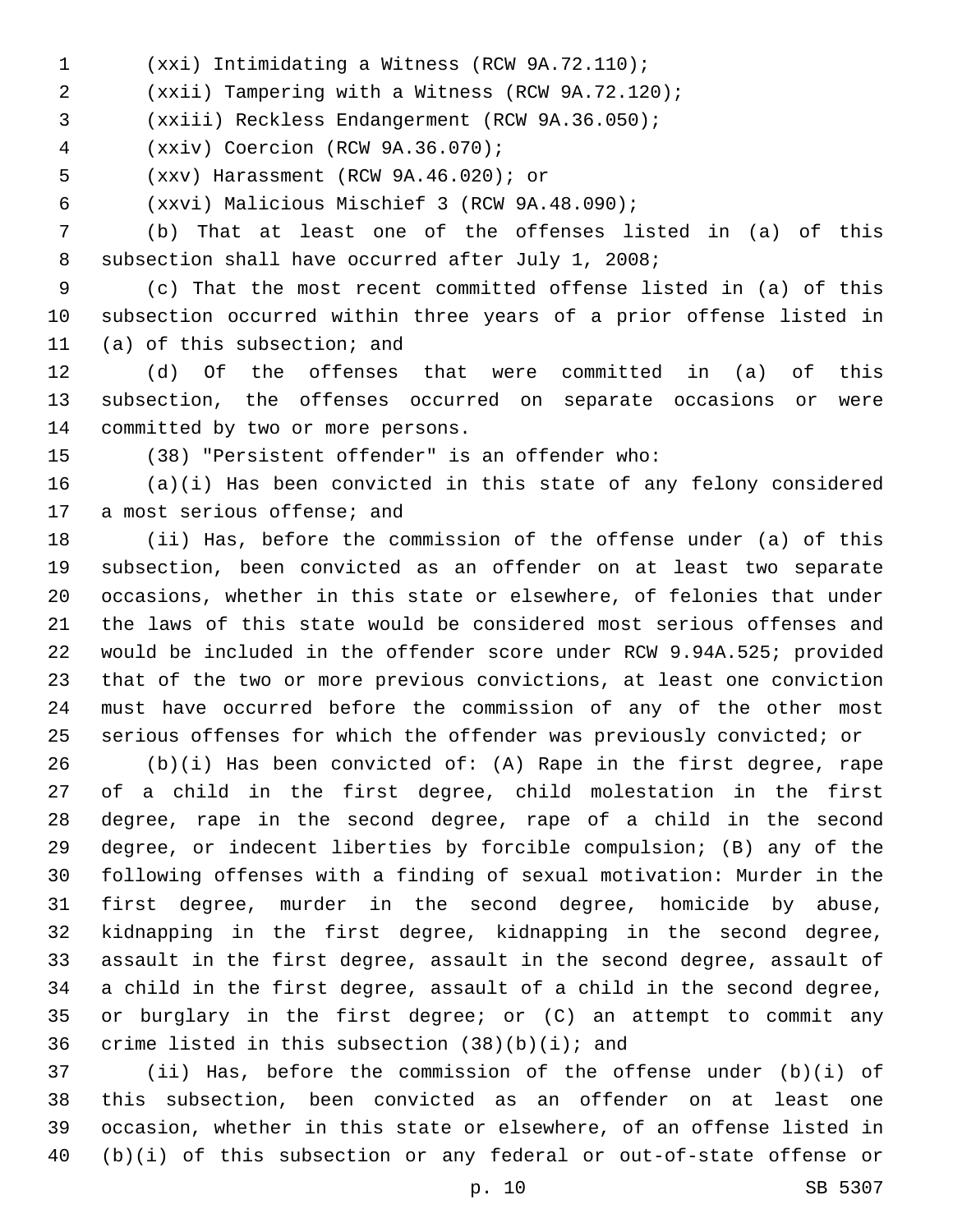- (xxi) Intimidating a Witness (RCW 9A.72.110);1
- (xxii) Tampering with a Witness (RCW 9A.72.120);
- 3 (xxiii) Reckless Endangerment (RCW 9A.36.050);
- (xxiv) Coercion (RCW 9A.36.070);4
- (xxv) Harassment (RCW 9A.46.020); or5
- (xxvi) Malicious Mischief 3 (RCW 9A.48.090);6

 (b) That at least one of the offenses listed in (a) of this 8 subsection shall have occurred after July 1, 2008;

 (c) That the most recent committed offense listed in (a) of this subsection occurred within three years of a prior offense listed in 11 (a) of this subsection; and

 (d) Of the offenses that were committed in (a) of this subsection, the offenses occurred on separate occasions or were 14 committed by two or more persons.

(38) "Persistent offender" is an offender who:

 (a)(i) Has been convicted in this state of any felony considered 17 a most serious offense; and

 (ii) Has, before the commission of the offense under (a) of this subsection, been convicted as an offender on at least two separate occasions, whether in this state or elsewhere, of felonies that under the laws of this state would be considered most serious offenses and would be included in the offender score under RCW 9.94A.525; provided that of the two or more previous convictions, at least one conviction must have occurred before the commission of any of the other most serious offenses for which the offender was previously convicted; or

 (b)(i) Has been convicted of: (A) Rape in the first degree, rape of a child in the first degree, child molestation in the first degree, rape in the second degree, rape of a child in the second degree, or indecent liberties by forcible compulsion; (B) any of the following offenses with a finding of sexual motivation: Murder in the first degree, murder in the second degree, homicide by abuse, kidnapping in the first degree, kidnapping in the second degree, assault in the first degree, assault in the second degree, assault of a child in the first degree, assault of a child in the second degree, or burglary in the first degree; or (C) an attempt to commit any 36 crime listed in this subsection  $(38)(b)(i)$ ; and

 (ii) Has, before the commission of the offense under (b)(i) of this subsection, been convicted as an offender on at least one occasion, whether in this state or elsewhere, of an offense listed in (b)(i) of this subsection or any federal or out-of-state offense or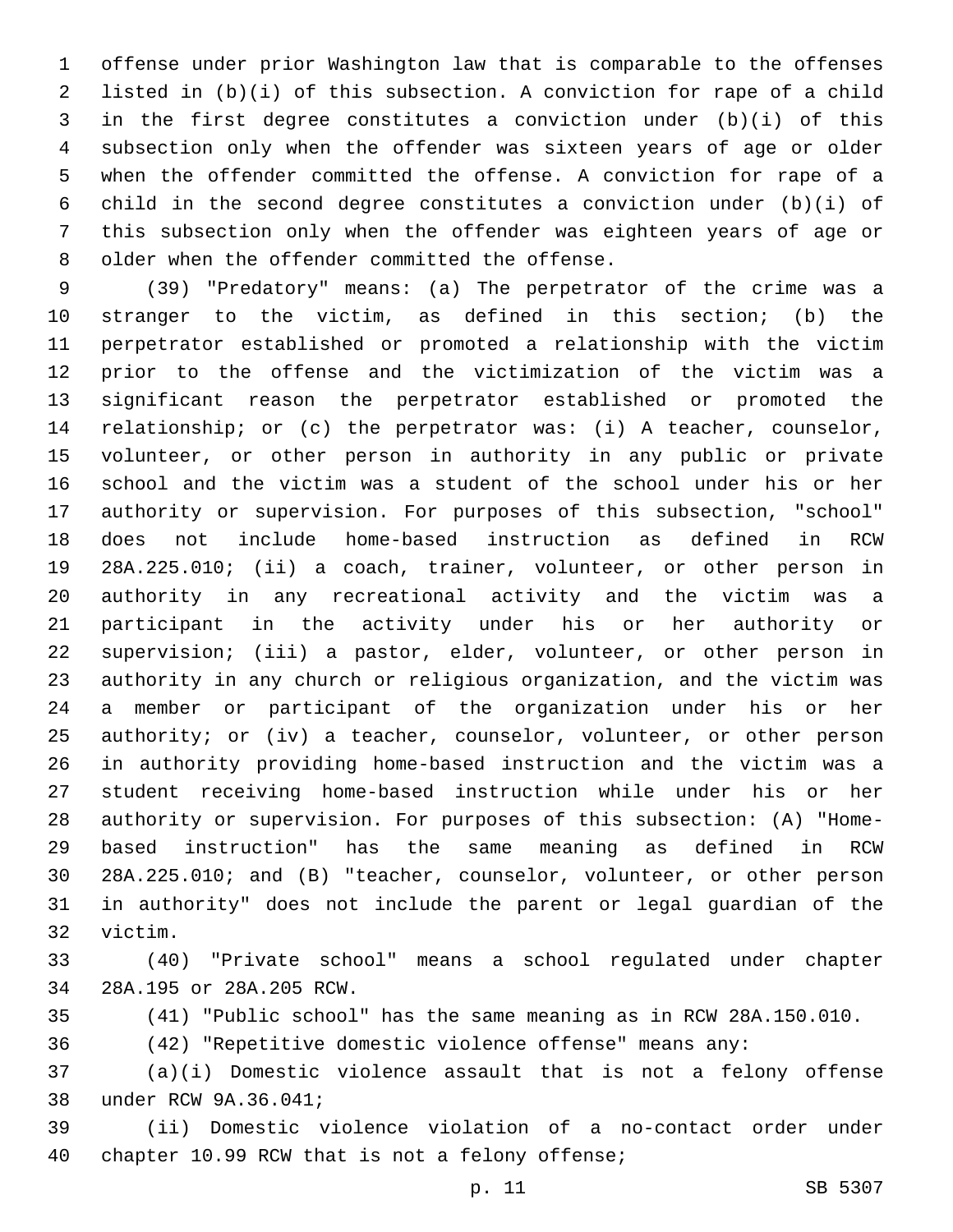offense under prior Washington law that is comparable to the offenses listed in (b)(i) of this subsection. A conviction for rape of a child in the first degree constitutes a conviction under (b)(i) of this subsection only when the offender was sixteen years of age or older when the offender committed the offense. A conviction for rape of a child in the second degree constitutes a conviction under (b)(i) of this subsection only when the offender was eighteen years of age or 8 older when the offender committed the offense.

 (39) "Predatory" means: (a) The perpetrator of the crime was a stranger to the victim, as defined in this section; (b) the perpetrator established or promoted a relationship with the victim prior to the offense and the victimization of the victim was a significant reason the perpetrator established or promoted the relationship; or (c) the perpetrator was: (i) A teacher, counselor, volunteer, or other person in authority in any public or private school and the victim was a student of the school under his or her authority or supervision. For purposes of this subsection, "school" does not include home-based instruction as defined in RCW 28A.225.010; (ii) a coach, trainer, volunteer, or other person in authority in any recreational activity and the victim was a participant in the activity under his or her authority or supervision; (iii) a pastor, elder, volunteer, or other person in authority in any church or religious organization, and the victim was a member or participant of the organization under his or her authority; or (iv) a teacher, counselor, volunteer, or other person in authority providing home-based instruction and the victim was a student receiving home-based instruction while under his or her authority or supervision. For purposes of this subsection: (A) "Home- based instruction" has the same meaning as defined in RCW 28A.225.010; and (B) "teacher, counselor, volunteer, or other person in authority" does not include the parent or legal guardian of the 32 victim.

 (40) "Private school" means a school regulated under chapter 28A.195 or 28A.205 RCW.34

(41) "Public school" has the same meaning as in RCW 28A.150.010.

(42) "Repetitive domestic violence offense" means any:

 (a)(i) Domestic violence assault that is not a felony offense 38 under RCW 9A.36.041;

 (ii) Domestic violence violation of a no-contact order under 40 chapter 10.99 RCW that is not a felony offense;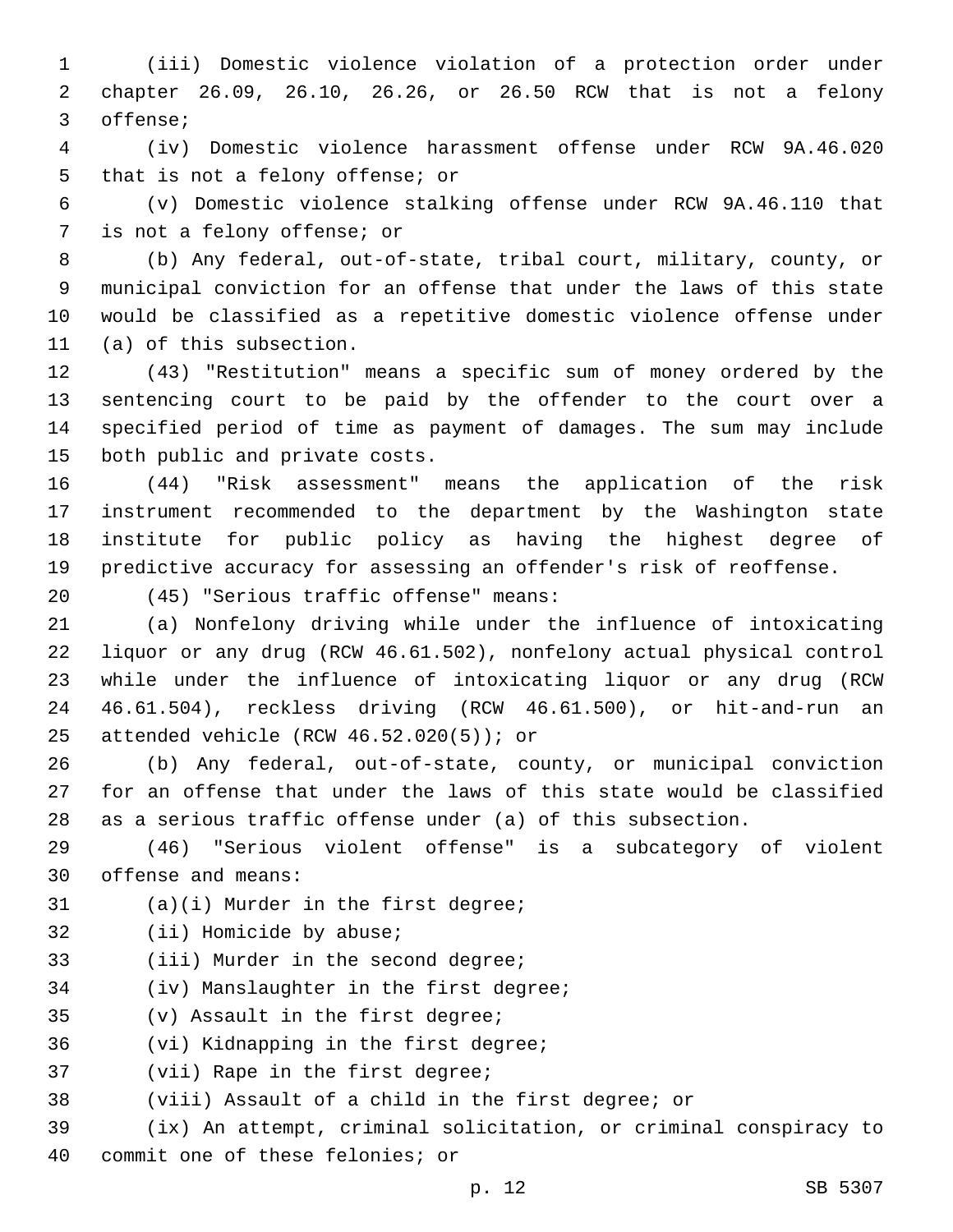1 (iii) Domestic violence violation of a protection order under 2 chapter 26.09, 26.10, 26.26, or 26.50 RCW that is not a felony 3 offense;

4 (iv) Domestic violence harassment offense under RCW 9A.46.020 5 that is not a felony offense; or

6 (v) Domestic violence stalking offense under RCW 9A.46.110 that 7 is not a felony offense; or

 (b) Any federal, out-of-state, tribal court, military, county, or municipal conviction for an offense that under the laws of this state would be classified as a repetitive domestic violence offense under 11 (a) of this subsection.

 (43) "Restitution" means a specific sum of money ordered by the sentencing court to be paid by the offender to the court over a specified period of time as payment of damages. The sum may include 15 both public and private costs.

 (44) "Risk assessment" means the application of the risk instrument recommended to the department by the Washington state institute for public policy as having the highest degree of predictive accuracy for assessing an offender's risk of reoffense.

(45) "Serious traffic offense" means:20

 (a) Nonfelony driving while under the influence of intoxicating liquor or any drug (RCW 46.61.502), nonfelony actual physical control while under the influence of intoxicating liquor or any drug (RCW 46.61.504), reckless driving (RCW 46.61.500), or hit-and-run an 25 attended vehicle (RCW  $46.52.020(5)$ ); or

26 (b) Any federal, out-of-state, county, or municipal conviction 27 for an offense that under the laws of this state would be classified 28 as a serious traffic offense under (a) of this subsection.

29 (46) "Serious violent offense" is a subcategory of violent 30 offense and means:

 $(1)$  (a)(i) Murder in the first degree;

- 32 (ii) Homicide by abuse;
- 33 (iii) Murder in the second degree;

34 (iv) Manslaughter in the first degree;

35 (v) Assault in the first degree;

36 (vi) Kidnapping in the first degree;

37 (vii) Rape in the first degree;

38 (viii) Assault of a child in the first degree; or

39 (ix) An attempt, criminal solicitation, or criminal conspiracy to 40 commit one of these felonies; or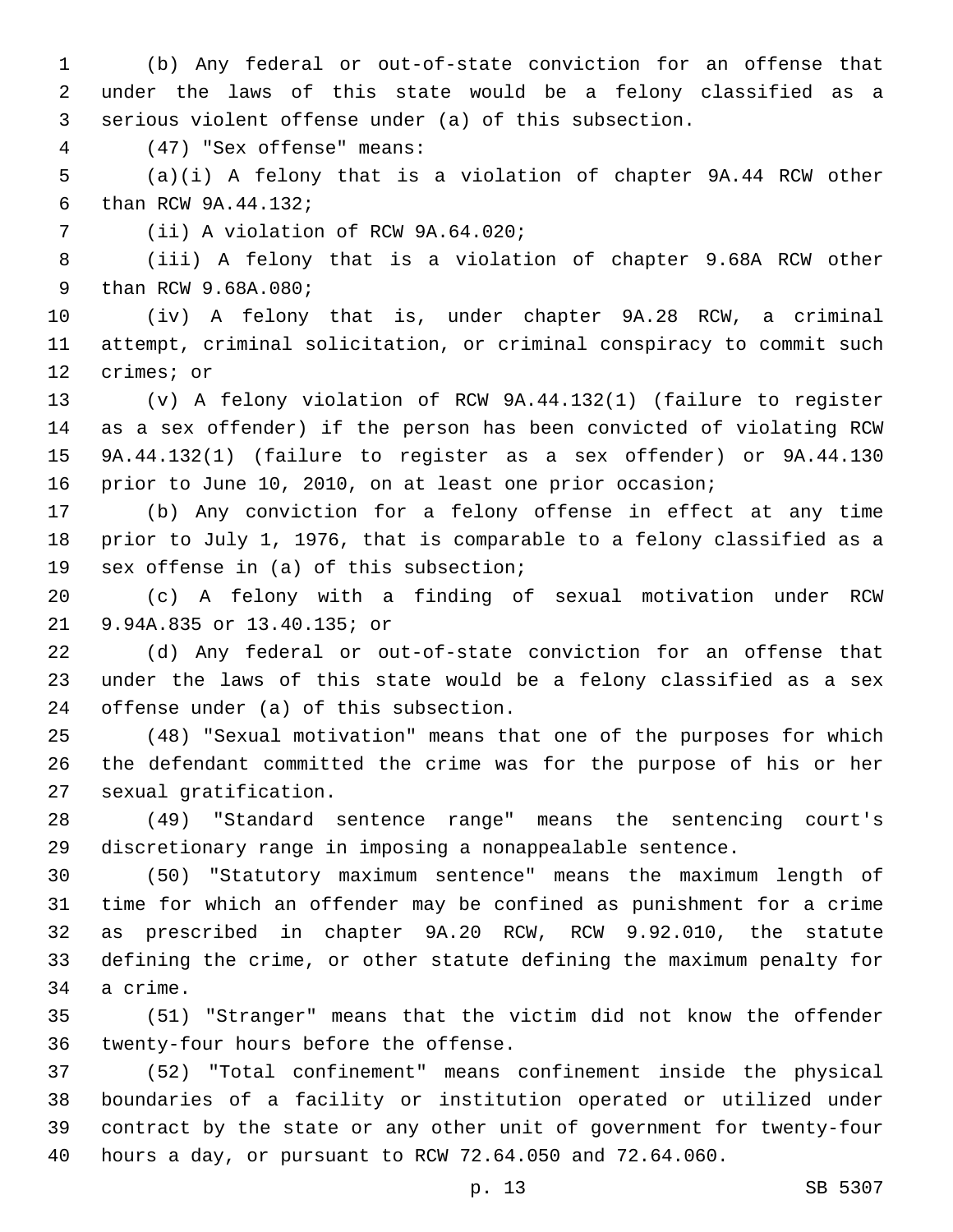(b) Any federal or out-of-state conviction for an offense that under the laws of this state would be a felony classified as a serious violent offense under (a) of this subsection.

(47) "Sex offense" means:4

 (a)(i) A felony that is a violation of chapter 9A.44 RCW other 6 than RCW 9A.44.132;

7 (ii) A violation of RCW 9A.64.020;

 (iii) A felony that is a violation of chapter 9.68A RCW other 9 than RCW 9.68A.080;

 (iv) A felony that is, under chapter 9A.28 RCW, a criminal attempt, criminal solicitation, or criminal conspiracy to commit such 12 crimes; or

 (v) A felony violation of RCW 9A.44.132(1) (failure to register as a sex offender) if the person has been convicted of violating RCW 9A.44.132(1) (failure to register as a sex offender) or 9A.44.130 prior to June 10, 2010, on at least one prior occasion;

 (b) Any conviction for a felony offense in effect at any time prior to July 1, 1976, that is comparable to a felony classified as a 19 sex offense in (a) of this subsection;

 (c) A felony with a finding of sexual motivation under RCW 9.94A.835 or 13.40.135; or21

 (d) Any federal or out-of-state conviction for an offense that under the laws of this state would be a felony classified as a sex 24 offense under (a) of this subsection.

 (48) "Sexual motivation" means that one of the purposes for which the defendant committed the crime was for the purpose of his or her 27 sexual gratification.

 (49) "Standard sentence range" means the sentencing court's discretionary range in imposing a nonappealable sentence.

 (50) "Statutory maximum sentence" means the maximum length of time for which an offender may be confined as punishment for a crime as prescribed in chapter 9A.20 RCW, RCW 9.92.010, the statute defining the crime, or other statute defining the maximum penalty for 34 a crime.

 (51) "Stranger" means that the victim did not know the offender 36 twenty-four hours before the offense.

 (52) "Total confinement" means confinement inside the physical boundaries of a facility or institution operated or utilized under contract by the state or any other unit of government for twenty-four hours a day, or pursuant to RCW 72.64.050 and 72.64.060.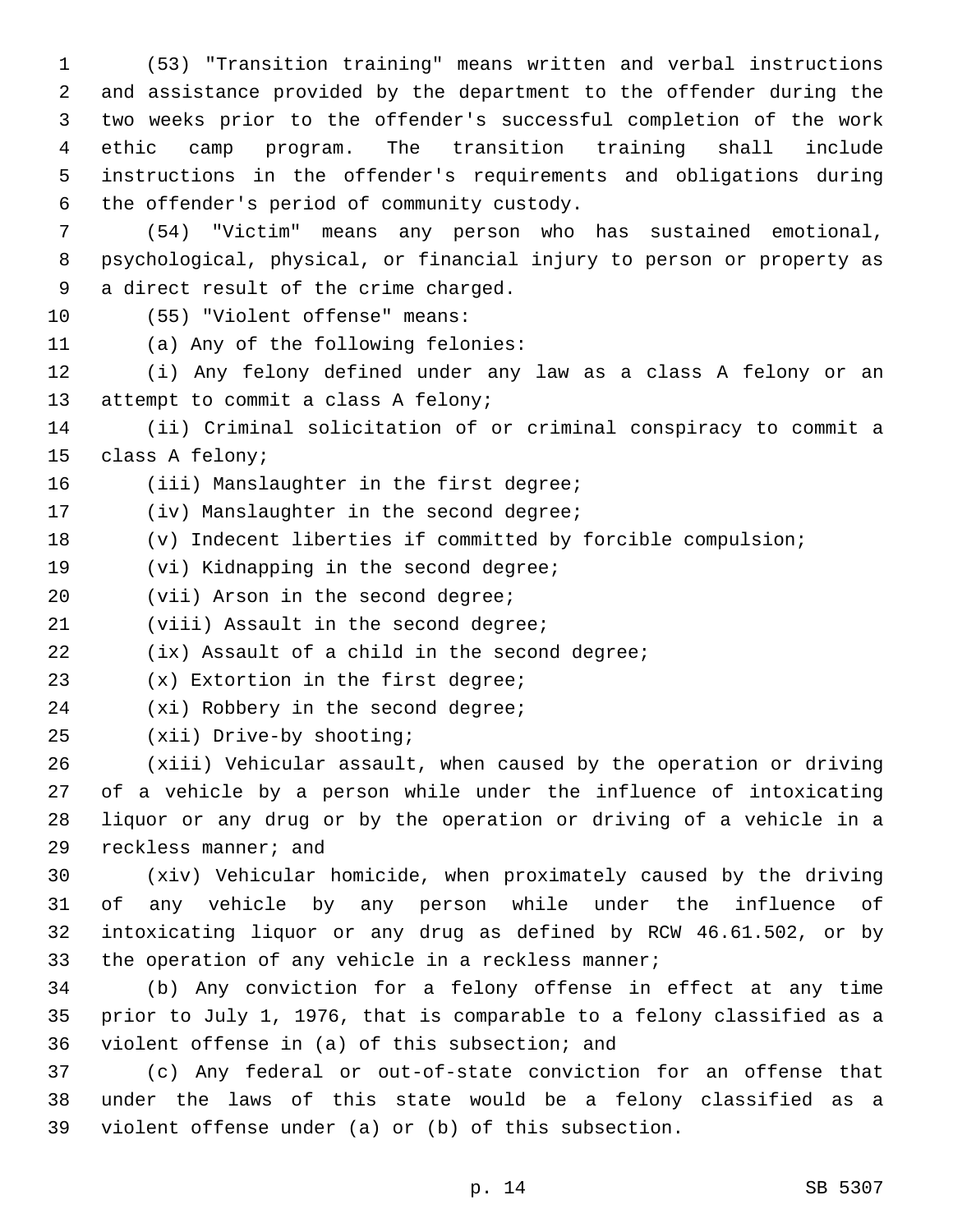(53) "Transition training" means written and verbal instructions and assistance provided by the department to the offender during the two weeks prior to the offender's successful completion of the work ethic camp program. The transition training shall include instructions in the offender's requirements and obligations during the offender's period of community custody.6

7 (54) "Victim" means any person who has sustained emotional, 8 psychological, physical, or financial injury to person or property as 9 a direct result of the crime charged.

10 (55) "Violent offense" means:

11 (a) Any of the following felonies:

12 (i) Any felony defined under any law as a class A felony or an 13 attempt to commit a class A felony;

14 (ii) Criminal solicitation of or criminal conspiracy to commit a 15 class A felony;

16 (iii) Manslaughter in the first degree;

17 (iv) Manslaughter in the second degree;

18 (v) Indecent liberties if committed by forcible compulsion;

19 (vi) Kidnapping in the second degree;

20 (vii) Arson in the second degree;

21 (viii) Assault in the second degree;

22 (ix) Assault of a child in the second degree;

23 (x) Extortion in the first degree;

24 (xi) Robbery in the second degree;

25 (xii) Drive-by shooting;

 (xiii) Vehicular assault, when caused by the operation or driving of a vehicle by a person while under the influence of intoxicating liquor or any drug or by the operation or driving of a vehicle in a 29 reckless manner; and

 (xiv) Vehicular homicide, when proximately caused by the driving of any vehicle by any person while under the influence of intoxicating liquor or any drug as defined by RCW 46.61.502, or by the operation of any vehicle in a reckless manner;

34 (b) Any conviction for a felony offense in effect at any time 35 prior to July 1, 1976, that is comparable to a felony classified as a 36 violent offense in (a) of this subsection; and

37 (c) Any federal or out-of-state conviction for an offense that 38 under the laws of this state would be a felony classified as a 39 violent offense under (a) or (b) of this subsection.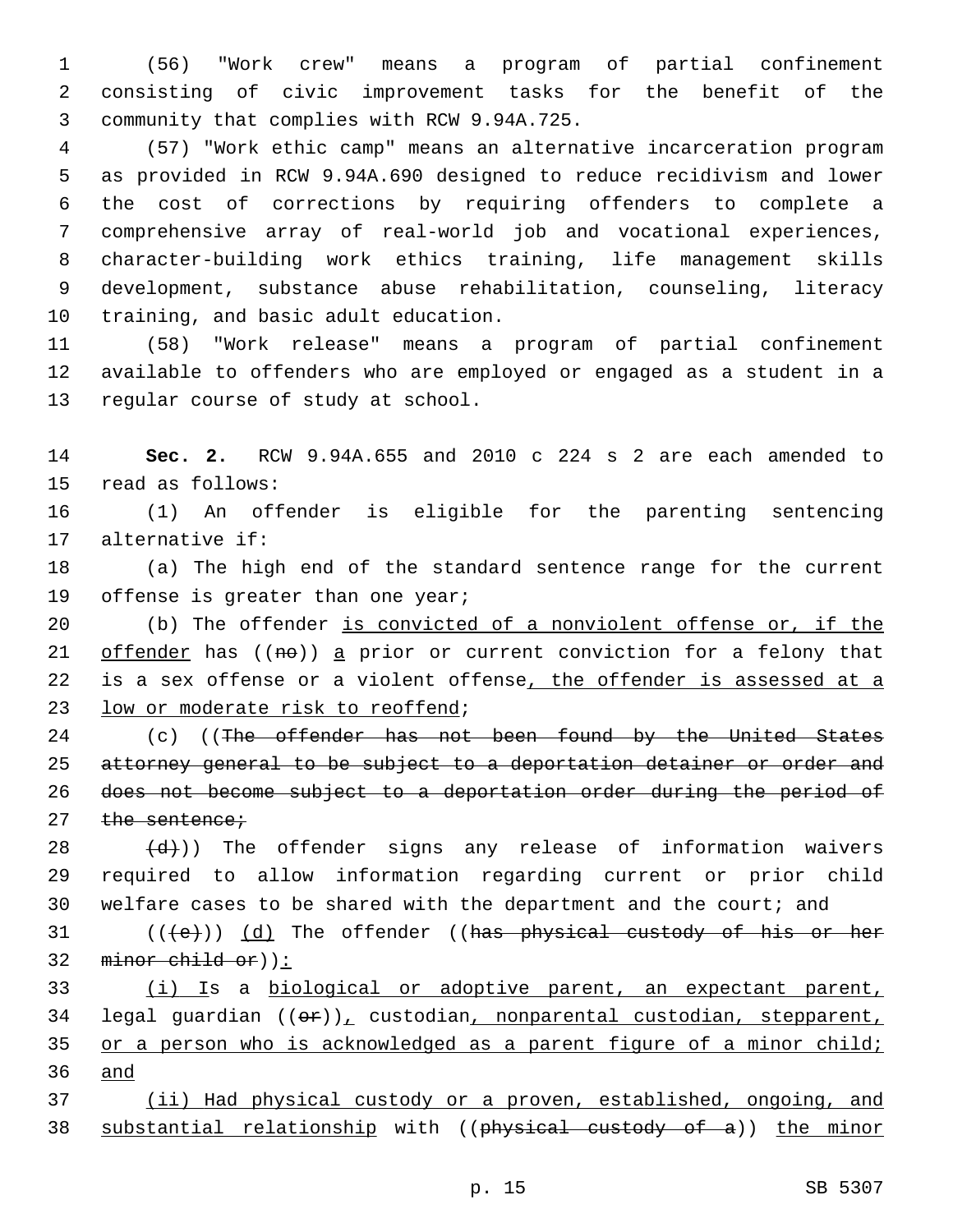1 (56) "Work crew" means a program of partial confinement 2 consisting of civic improvement tasks for the benefit of the 3 community that complies with RCW 9.94A.725.

 (57) "Work ethic camp" means an alternative incarceration program as provided in RCW 9.94A.690 designed to reduce recidivism and lower the cost of corrections by requiring offenders to complete a comprehensive array of real-world job and vocational experiences, character-building work ethics training, life management skills development, substance abuse rehabilitation, counseling, literacy 10 training, and basic adult education.

11 (58) "Work release" means a program of partial confinement 12 available to offenders who are employed or engaged as a student in a 13 regular course of study at school.

14 **Sec. 2.** RCW 9.94A.655 and 2010 c 224 s 2 are each amended to 15 read as follows:

16 (1) An offender is eligible for the parenting sentencing 17 alternative if:

18 (a) The high end of the standard sentence range for the current 19 offense is greater than one year;

20 (b) The offender is convicted of a nonviolent offense or, if the 21 offender has  $((n\theta))$  a prior or current conviction for a felony that 22 is a sex offense or a violent offense, the offender is assessed at a 23 low or moderate risk to reoffend;

24 (c) ((The offender has not been found by the United States 25 attorney general to be subject to a deportation detainer or order and 26 does not become subject to a deportation order during the period of 27 the sentence;

 $(28 \t (d))$  The offender signs any release of information waivers 29 required to allow information regarding current or prior child 30 welfare cases to be shared with the department and the court; and

31 (((e)) (d) The offender ((has physical custody of his or her 32 minor child or)):

33 (i) Is a biological or adoptive parent, an expectant parent, 34 legal guardian ((or)), custodian, nonparental custodian, stepparent, 35 or a person who is acknowledged as a parent figure of a minor child; 36 and

37 (ii) Had physical custody or a proven, established, ongoing, and 38 substantial relationship with ((physical custody of a)) the minor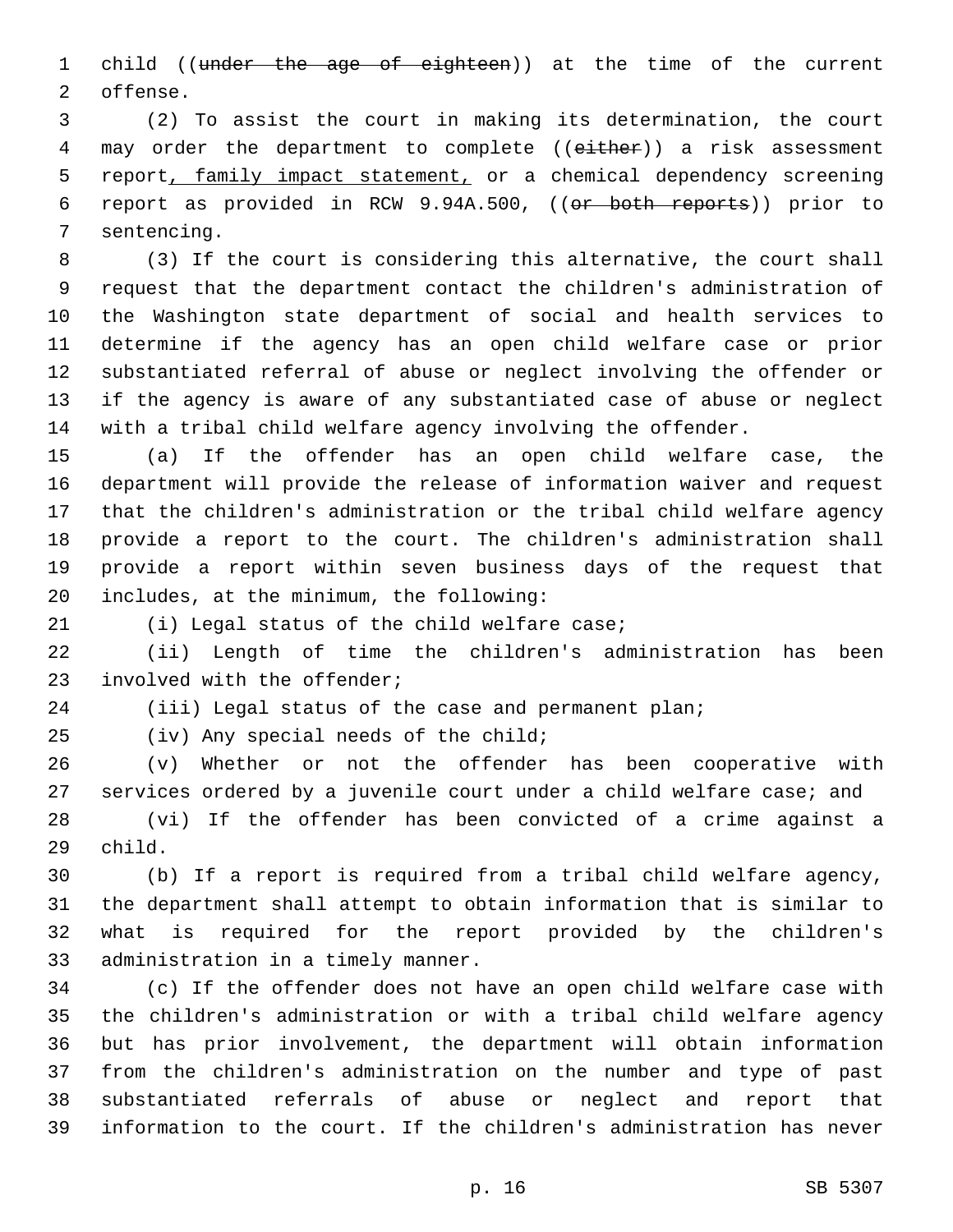1 child ((under the age of eighteen)) at the time of the current 2 offense.

 (2) To assist the court in making its determination, the court 4 may order the department to complete ((either)) a risk assessment report, family impact statement, or a chemical dependency screening report as provided in RCW 9.94A.500, ((or both reports)) prior to 7 sentencing.

 (3) If the court is considering this alternative, the court shall request that the department contact the children's administration of the Washington state department of social and health services to determine if the agency has an open child welfare case or prior substantiated referral of abuse or neglect involving the offender or if the agency is aware of any substantiated case of abuse or neglect with a tribal child welfare agency involving the offender.

 (a) If the offender has an open child welfare case, the department will provide the release of information waiver and request that the children's administration or the tribal child welfare agency provide a report to the court. The children's administration shall provide a report within seven business days of the request that 20 includes, at the minimum, the following:

(i) Legal status of the child welfare case;

 (ii) Length of time the children's administration has been 23 involved with the offender;

(iii) Legal status of the case and permanent plan;

(iv) Any special needs of the child;

 (v) Whether or not the offender has been cooperative with services ordered by a juvenile court under a child welfare case; and (vi) If the offender has been convicted of a crime against a 29 child.

 (b) If a report is required from a tribal child welfare agency, the department shall attempt to obtain information that is similar to what is required for the report provided by the children's 33 administration in a timely manner.

 (c) If the offender does not have an open child welfare case with the children's administration or with a tribal child welfare agency but has prior involvement, the department will obtain information from the children's administration on the number and type of past substantiated referrals of abuse or neglect and report that information to the court. If the children's administration has never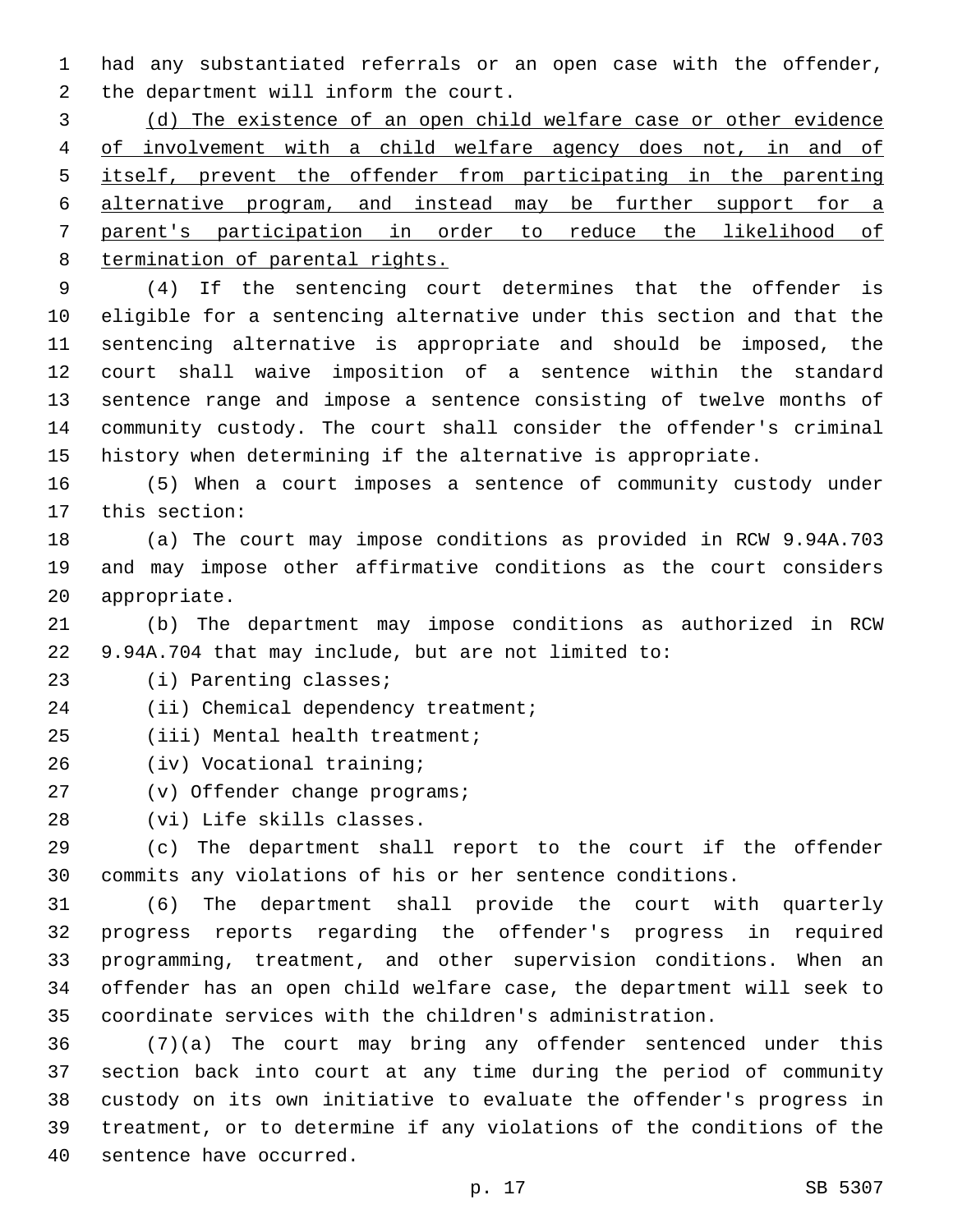had any substantiated referrals or an open case with the offender, 2 the department will inform the court.

 (d) The existence of an open child welfare case or other evidence of involvement with a child welfare agency does not, in and of itself, prevent the offender from participating in the parenting alternative program, and instead may be further support for a parent's participation in order to reduce the likelihood of termination of parental rights.

 (4) If the sentencing court determines that the offender is eligible for a sentencing alternative under this section and that the sentencing alternative is appropriate and should be imposed, the court shall waive imposition of a sentence within the standard sentence range and impose a sentence consisting of twelve months of community custody. The court shall consider the offender's criminal history when determining if the alternative is appropriate.

 (5) When a court imposes a sentence of community custody under 17 this section:

 (a) The court may impose conditions as provided in RCW 9.94A.703 and may impose other affirmative conditions as the court considers 20 appropriate.

 (b) The department may impose conditions as authorized in RCW 9.94A.704 that may include, but are not limited to:

23 (i) Parenting classes;

24 (ii) Chemical dependency treatment;

25 (iii) Mental health treatment;

(iv) Vocational training;26

27 (v) Offender change programs;

28 (vi) Life skills classes.

 (c) The department shall report to the court if the offender commits any violations of his or her sentence conditions.

 (6) The department shall provide the court with quarterly progress reports regarding the offender's progress in required programming, treatment, and other supervision conditions. When an offender has an open child welfare case, the department will seek to coordinate services with the children's administration.

 (7)(a) The court may bring any offender sentenced under this section back into court at any time during the period of community custody on its own initiative to evaluate the offender's progress in treatment, or to determine if any violations of the conditions of the 40 sentence have occurred.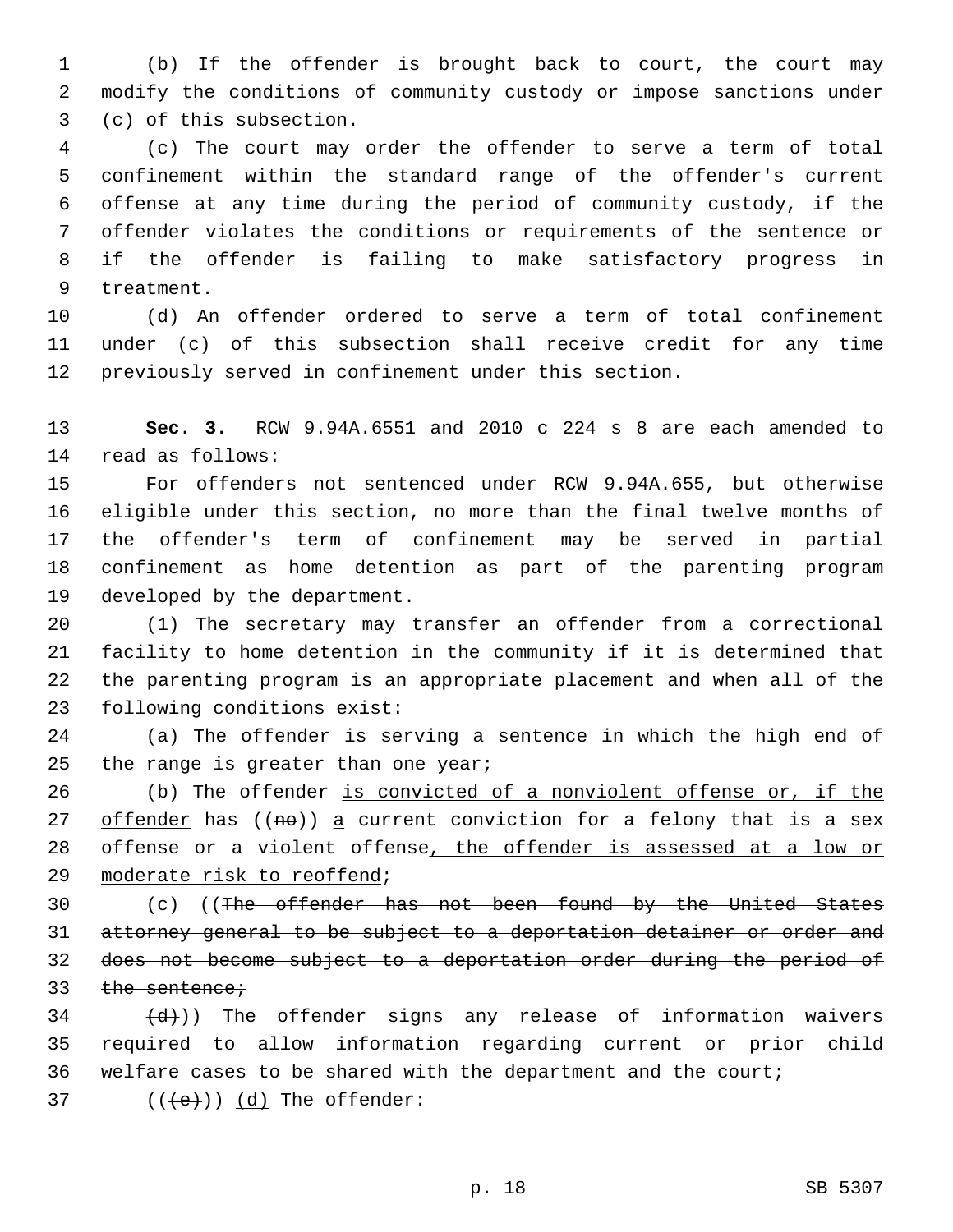(b) If the offender is brought back to court, the court may modify the conditions of community custody or impose sanctions under 3 (c) of this subsection.

 (c) The court may order the offender to serve a term of total confinement within the standard range of the offender's current offense at any time during the period of community custody, if the offender violates the conditions or requirements of the sentence or if the offender is failing to make satisfactory progress in 9 treatment.

 (d) An offender ordered to serve a term of total confinement under (c) of this subsection shall receive credit for any time previously served in confinement under this section.

 **Sec. 3.** RCW 9.94A.6551 and 2010 c 224 s 8 are each amended to 14 read as follows:

 For offenders not sentenced under RCW 9.94A.655, but otherwise eligible under this section, no more than the final twelve months of the offender's term of confinement may be served in partial confinement as home detention as part of the parenting program 19 developed by the department.

 (1) The secretary may transfer an offender from a correctional facility to home detention in the community if it is determined that the parenting program is an appropriate placement and when all of the 23 following conditions exist:

 (a) The offender is serving a sentence in which the high end of 25 the range is greater than one year;

 (b) The offender is convicted of a nonviolent offense or, if the 27 offender has  $((n\theta))$  a current conviction for a felony that is a sex offense or a violent offense, the offender is assessed at a low or 29 moderate risk to reoffend;

30 (c) ((The offender has not been found by the United States attorney general to be subject to a deportation detainer or order and does not become subject to a deportation order during the period of 33 the sentence;

  $(d)$ )) The offender signs any release of information waivers required to allow information regarding current or prior child welfare cases to be shared with the department and the court;  $($   $($   $($   $\leftarrow$   $)$   $)$   $(d)$  The offender: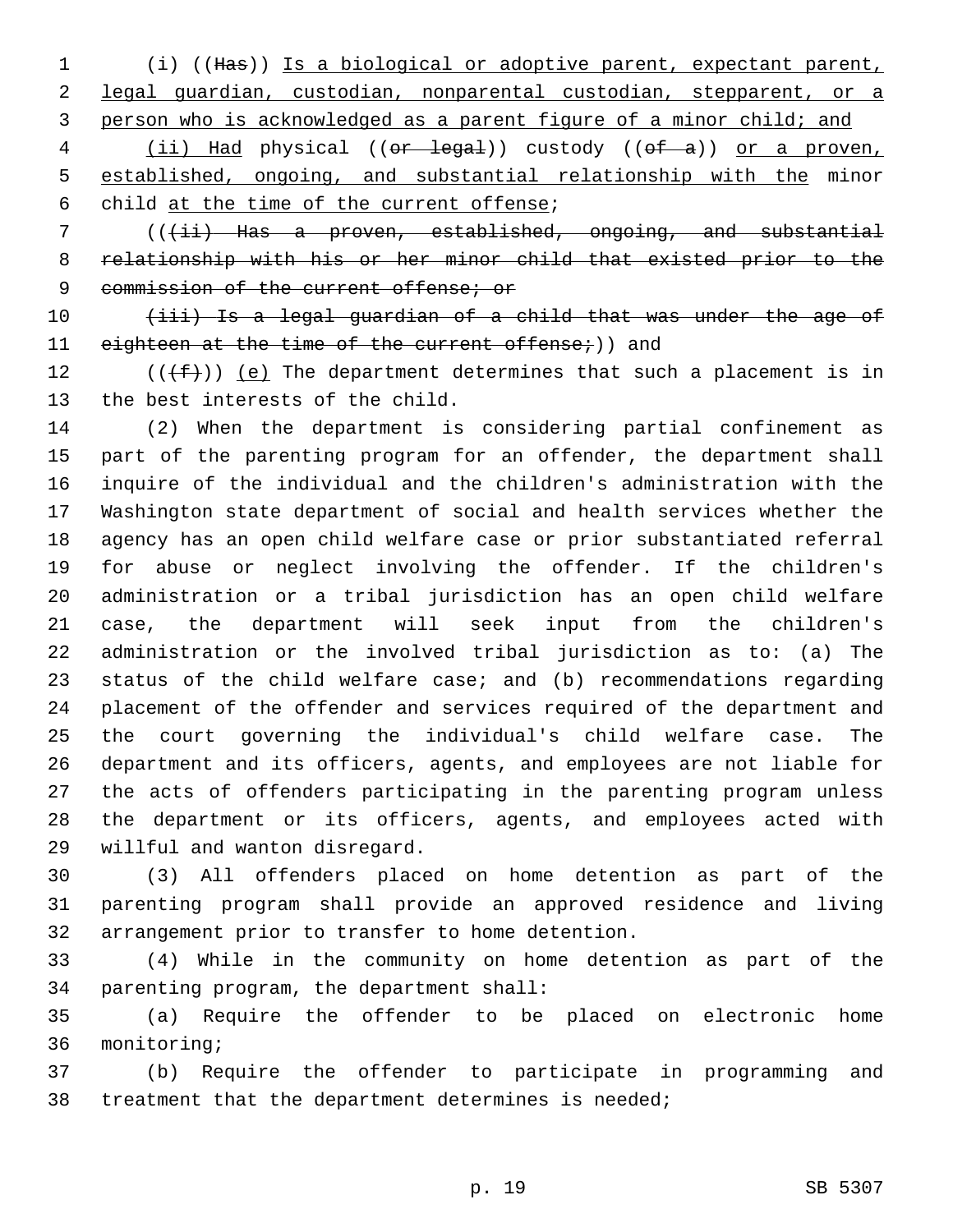(i) ((Has)) Is a biological or adoptive parent, expectant parent, legal guardian, custodian, nonparental custodian, stepparent, or a person who is acknowledged as a parent figure of a minor child; and

4 (ii) Had physical ((or legal)) custody ((of a)) or a proven, established, ongoing, and substantial relationship with the minor 6 child at the time of the current offense;

7 (((ii) Has a proven, established, ongoing, and substantial relationship with his or her minor child that existed prior to the 9 commission of the current offense; or

10 (iii) Is a legal guardian of a child that was under the age of 11 eighteen at the time of the current offense;)) and

12  $((\text{+f}))(e)$  The department determines that such a placement is in 13 the best interests of the child.

 (2) When the department is considering partial confinement as part of the parenting program for an offender, the department shall inquire of the individual and the children's administration with the Washington state department of social and health services whether the agency has an open child welfare case or prior substantiated referral for abuse or neglect involving the offender. If the children's administration or a tribal jurisdiction has an open child welfare case, the department will seek input from the children's administration or the involved tribal jurisdiction as to: (a) The status of the child welfare case; and (b) recommendations regarding placement of the offender and services required of the department and the court governing the individual's child welfare case. The department and its officers, agents, and employees are not liable for the acts of offenders participating in the parenting program unless the department or its officers, agents, and employees acted with 29 willful and wanton disregard.

 (3) All offenders placed on home detention as part of the parenting program shall provide an approved residence and living 32 arrangement prior to transfer to home detention.

 (4) While in the community on home detention as part of the 34 parenting program, the department shall:

 (a) Require the offender to be placed on electronic home 36 monitoring;

 (b) Require the offender to participate in programming and treatment that the department determines is needed;